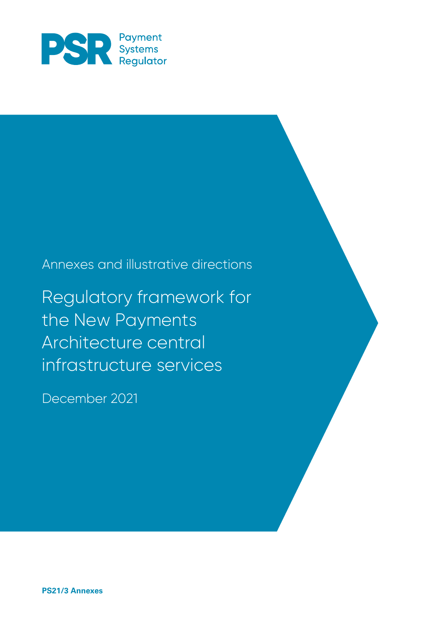

## Annexes and illustrative directions

Regulatory framework for the New Payments Architecture central infrastructure services

December 2021

**PS21/3 Annexes**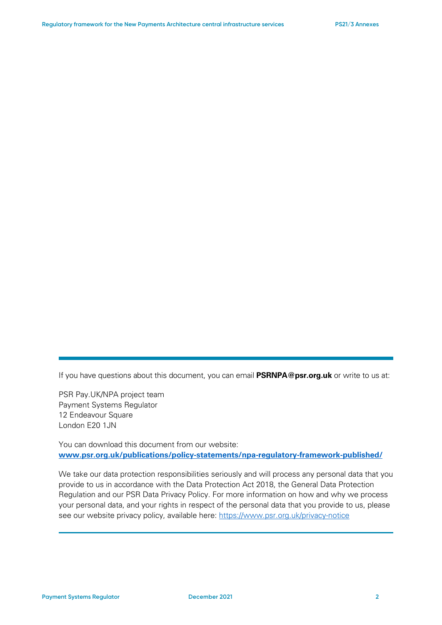If you have questions about this document, you can email **PSRNPA@psr.org.uk** or write to us at:

PSR Pay.UK/NPA project team Payment Systems Regulator 12 Endeavour Square London E20 1JN

You can download this document from our website: **[www.psr.org.uk/publications/policy-statements/npa-regulatory-framework-published/](http://www.psr.org.uk/publications/policy-statements/npa-regulatory-framework-published/)**

We take our data protection responsibilities seriously and will process any personal data that you provide to us in accordance with the Data Protection Act 2018, the General Data Protection Regulation and our PSR Data Privacy Policy. For more information on how and why we process your personal data, and your rights in respect of the personal data that you provide to us, please see our website privacy policy, available here:<https://www.psr.org.uk/privacy-notice>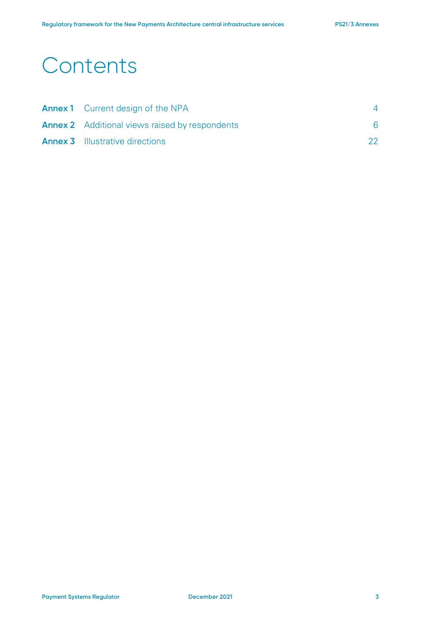# **Contents**

| <b>Annex 1</b> Current design of the NPA              |    |
|-------------------------------------------------------|----|
| <b>Annex 2</b> Additional views raised by respondents |    |
| <b>Annex 3</b> Illustrative directions                | 22 |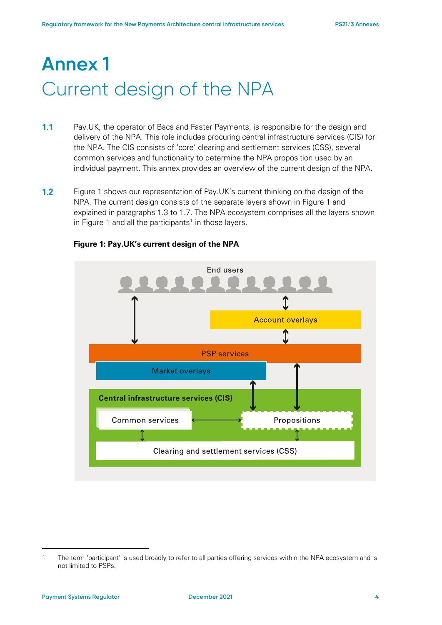# **Annex 1** Current design of the NPA

- $1.1$ Pay.UK, the operator of Bacs and Faster Payments, is responsible for the design and delivery of the NPA. This role includes procuring central infrastructure services (CIS) for the NPA. The CIS consists of 'core' clearing and settlement services (CSS), several common services and functionality to determine the NPA proposition used by an individual payment. This annex provides an overview of the current design of the NPA.
- $1.2$ [Figure 1](#page-3-0) shows our representation of Pay.UK's current thinking on the design of the NPA. The current design consists of the separate layers shown in [Figure 1](#page-3-0) and explained in paragraphs [1.3](#page-4-0) to 1.7. The NPA ecosystem comprises all the layers shown in [Figure 1](#page-3-0) and all the participants<sup>[1](#page-3-1)</sup> in those layers.

<span id="page-3-0"></span>

#### **Figure 1: Pay.UK's current design of the NPA**

<span id="page-3-1"></span><sup>1</sup> The term 'participant' is used broadly to refer to all parties offering services within the NPA ecosystem and is not limited to PSPs.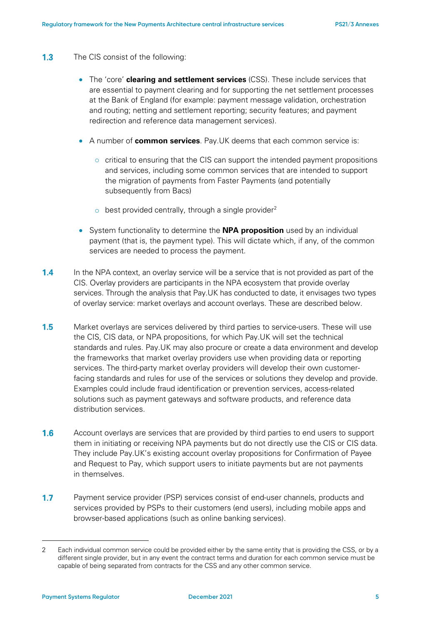- <span id="page-4-0"></span> $1.3$ The CIS consist of the following:
	- The 'core' **clearing and settlement services** (CSS). These include services that are essential to payment clearing and for supporting the net settlement processes at the Bank of England (for example: payment message validation, orchestration and routing; netting and settlement reporting; security features; and payment redirection and reference data management services).
	- A number of **common services**. Pay.UK deems that each common service is:
		- $\circ$  critical to ensuring that the CIS can support the intended payment propositions and services, including some common services that are intended to support the migration of payments from Faster Payments (and potentially subsequently from Bacs)
		- $\circ$  best provided centrally, through a single provider<sup>[2](#page-4-1)</sup>
	- System functionality to determine the **NPA proposition** used by an individual payment (that is, the payment type). This will dictate which, if any, of the common services are needed to process the payment.
- $1.4$ In the NPA context, an overlay service will be a service that is not provided as part of the CIS. Overlay providers are participants in the NPA ecosystem that provide overlay services. Through the analysis that Pay.UK has conducted to date, it envisages two types of overlay service: market overlays and account overlays. These are described below.
- $1.5$ Market overlays are services delivered by third parties to service-users. These will use the CIS, CIS data, or NPA propositions, for which Pay.UK will set the technical standards and rules. Pay.UK may also procure or create a data environment and develop the frameworks that market overlay providers use when providing data or reporting services. The third-party market overlay providers will develop their own customerfacing standards and rules for use of the services or solutions they develop and provide. Examples could include fraud identification or prevention services, access-related solutions such as payment gateways and software products, and reference data distribution services.
- $1.6$ Account overlays are services that are provided by third parties to end users to support them in initiating or receiving NPA payments but do not directly use the CIS or CIS data. They include Pay.UK's existing account overlay propositions for Confirmation of Payee and Request to Pay, which support users to initiate payments but are not payments in themselves.
- $1.7$ Payment service provider (PSP) services consist of end-user channels, products and services provided by PSPs to their customers (end users), including mobile apps and browser-based applications (such as online banking services).

<span id="page-4-1"></span><sup>2</sup> Each individual common service could be provided either by the same entity that is providing the CSS, or by a different single provider, but in any event the contract terms and duration for each common service must be capable of being separated from contracts for the CSS and any other common service.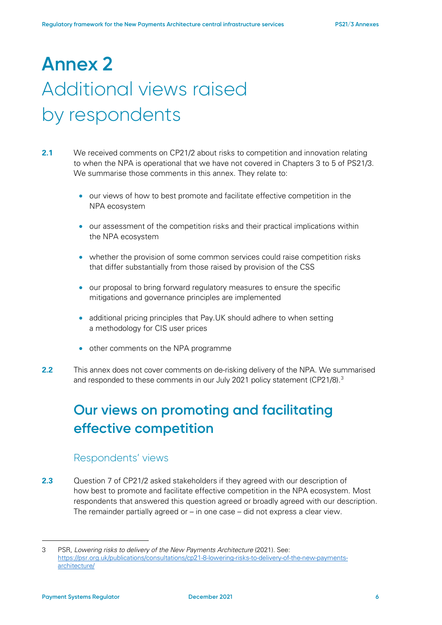# **Annex 2**  Additional views raised by respondents

- **2.1** We received comments on CP21/2 about risks to competition and innovation relating to when the NPA is operational that we have not covered in Chapters 3 to 5 of PS21/3. We summarise those comments in this annex. They relate to:
	- our views of how to best promote and facilitate effective competition in the NPA ecosystem
	- our assessment of the competition risks and their practical implications within the NPA ecosystem
	- whether the provision of some common services could raise competition risks that differ substantially from those raised by provision of the CSS
	- our proposal to bring forward regulatory measures to ensure the specific mitigations and governance principles are implemented
	- additional pricing principles that Pay.UK should adhere to when setting a methodology for CIS user prices
	- other comments on the NPA programme
- **2.2** This annex does not cover comments on de-risking delivery of the NPA. We summarised and responded to these comments in our July 2021 policy statement (CP21/8).<sup>3</sup>

## **Our views on promoting and facilitating effective competition**

### Respondents' views

**2.3** Question 7 of CP21/2 asked stakeholders if they agreed with our description of how best to promote and facilitate effective competition in the NPA ecosystem. Most respondents that answered this question agreed or broadly agreed with our description. The remainder partially agreed or – in one case – did not express a clear view.

<span id="page-5-0"></span><sup>3</sup> PSR, *Lowering risks to delivery of the New Payments Architecture* (2021). See: [https://psr.org.uk/publications/consultations/cp21-8-lowering-risks-to-delivery-of-the-new-payments](https://psr.org.uk/publications/consultations/cp21-8-lowering-risks-to-delivery-of-the-new-payments-architecture/)[architecture/](https://psr.org.uk/publications/consultations/cp21-8-lowering-risks-to-delivery-of-the-new-payments-architecture/)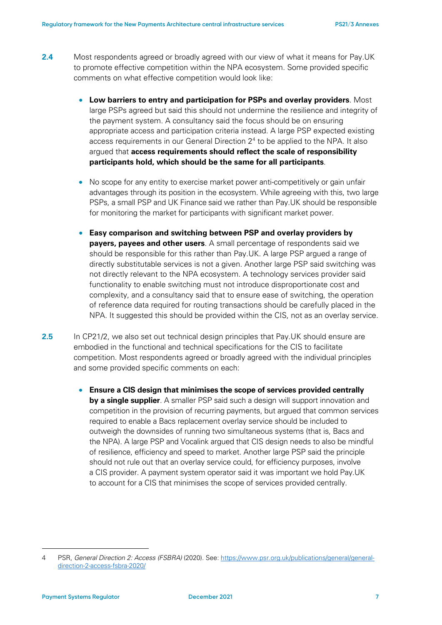- **2.4** Most respondents agreed or broadly agreed with our view of what it means for Pay.UK to promote effective competition within the NPA ecosystem. Some provided specific comments on what effective competition would look like:
	- **Low barriers to entry and participation for PSPs and overlay providers**. Most large PSPs agreed but said this should not undermine the resilience and integrity of the payment system. A consultancy said the focus should be on ensuring appropriate access and participation criteria instead. A large PSP expected existing access requirements in our General Direction  $2<sup>4</sup>$  $2<sup>4</sup>$  $2<sup>4</sup>$  to be applied to the NPA. It also argued that **access requirements should reflect the scale of responsibility participants hold, which should be the same for all participants**.
	- No scope for any entity to exercise market power anti-competitively or gain unfair advantages through its position in the ecosystem. While agreeing with this, two large PSPs, a small PSP and UK Finance said we rather than Pay.UK should be responsible for monitoring the market for participants with significant market power.
	- **Easy comparison and switching between PSP and overlay providers by payers, payees and other users**. A small percentage of respondents said we should be responsible for this rather than Pay.UK. A large PSP argued a range of directly substitutable services is not a given. Another large PSP said switching was not directly relevant to the NPA ecosystem. A technology services provider said functionality to enable switching must not introduce disproportionate cost and complexity, and a consultancy said that to ensure ease of switching, the operation of reference data required for routing transactions should be carefully placed in the NPA. It suggested this should be provided within the CIS, not as an overlay service.
- **2.5** In CP21/2, we also set out technical design principles that Pay.UK should ensure are embodied in the functional and technical specifications for the CIS to facilitate competition. Most respondents agreed or broadly agreed with the individual principles and some provided specific comments on each:
	- **Ensure a CIS design that minimises the scope of services provided centrally by a single supplier**. A smaller PSP said such a design will support innovation and competition in the provision of recurring payments, but argued that common services required to enable a Bacs replacement overlay service should be included to outweigh the downsides of running two simultaneous systems (that is, Bacs and the NPA). A large PSP and Vocalink argued that CIS design needs to also be mindful of resilience, efficiency and speed to market. Another large PSP said the principle should not rule out that an overlay service could, for efficiency purposes, involve a CIS provider. A payment system operator said it was important we hold Pay.UK to account for a CIS that minimises the scope of services provided centrally.

<span id="page-6-0"></span><sup>4</sup> PSR, *General Direction 2: Access (FSBRA)* (2020). See[: https://www.psr.org.uk/publications/general/general](https://www.psr.org.uk/publications/general/general-direction-2-access-fsbra-2020/)[direction-2-access-fsbra-2020/](https://www.psr.org.uk/publications/general/general-direction-2-access-fsbra-2020/)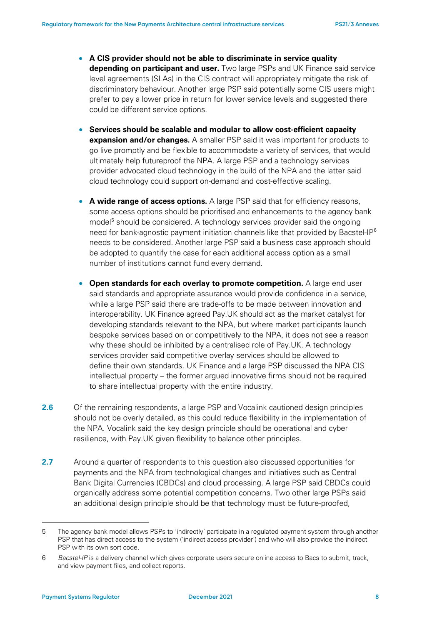- **A CIS provider should not be able to discriminate in service quality depending on participant and user.** Two large PSPs and UK Finance said service level agreements (SLAs) in the CIS contract will appropriately mitigate the risk of discriminatory behaviour. Another large PSP said potentially some CIS users might prefer to pay a lower price in return for lower service levels and suggested there could be different service options.
- **Services should be scalable and modular to allow cost-efficient capacity expansion and/or changes.** A smaller PSP said it was important for products to go live promptly and be flexible to accommodate a variety of services, that would ultimately help futureproof the NPA. A large PSP and a technology services provider advocated cloud technology in the build of the NPA and the latter said cloud technology could support on-demand and cost-effective scaling.
- A wide range of access options. A large PSP said that for efficiency reasons, some access options should be prioritised and enhancements to the agency bank model<sup>[5](#page-7-0)</sup> should be considered. A technology services provider said the ongoing need for bank-agnostic payment initiation channels like that provided by Bacstel-I $P<sup>6</sup>$  $P<sup>6</sup>$  $P<sup>6</sup>$ needs to be considered. Another large PSP said a business case approach should be adopted to quantify the case for each additional access option as a small number of institutions cannot fund every demand.
- **Open standards for each overlay to promote competition.** A large end user said standards and appropriate assurance would provide confidence in a service, while a large PSP said there are trade-offs to be made between innovation and interoperability. UK Finance agreed Pay.UK should act as the market catalyst for developing standards relevant to the NPA, but where market participants launch bespoke services based on or competitively to the NPA, it does not see a reason why these should be inhibited by a centralised role of Pay.UK. A technology services provider said competitive overlay services should be allowed to define their own standards. UK Finance and a large PSP discussed the NPA CIS intellectual property – the former argued innovative firms should not be required to share intellectual property with the entire industry.
- **2.6** Of the remaining respondents, a large PSP and Vocalink cautioned design principles should not be overly detailed, as this could reduce flexibility in the implementation of the NPA. Vocalink said the key design principle should be operational and cyber resilience, with Pay.UK given flexibility to balance other principles.
- **2.7** Around a quarter of respondents to this question also discussed opportunities for payments and the NPA from technological changes and initiatives such as Central Bank Digital Currencies (CBDCs) and cloud processing. A large PSP said CBDCs could organically address some potential competition concerns. Two other large PSPs said an additional design principle should be that technology must be future-proofed,

<span id="page-7-0"></span><sup>5</sup> The agency bank model allows PSPs to 'indirectly' participate in a regulated payment system through another PSP that has direct access to the system ('indirect access provider') and who will also provide the indirect PSP with its own sort code.

<span id="page-7-1"></span><sup>6</sup> *Bacstel-IP* is a delivery channel which gives corporate users secure online access to Bacs to submit, track, and view payment files, and collect reports.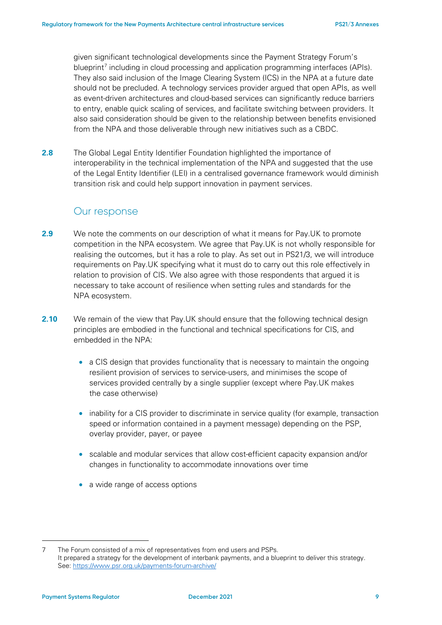given significant technological developments since the Payment Strategy Forum's blueprint<sup>[7](#page-8-0)</sup> including in cloud processing and application programming interfaces (APIs). They also said inclusion of the Image Clearing System (ICS) in the NPA at a future date should not be precluded. A technology services provider argued that open APIs, as well as event-driven architectures and cloud-based services can significantly reduce barriers to entry, enable quick scaling of services, and facilitate switching between providers. It also said consideration should be given to the relationship between benefits envisioned from the NPA and those deliverable through new initiatives such as a CBDC.

**2.8** The Global Legal Entity Identifier Foundation highlighted the importance of interoperability in the technical implementation of the NPA and suggested that the use of the Legal Entity Identifier (LEI) in a centralised governance framework would diminish transition risk and could help support innovation in payment services.

### Our response

- **2.9** We note the comments on our description of what it means for Pay.UK to promote competition in the NPA ecosystem. We agree that Pay.UK is not wholly responsible for realising the outcomes, but it has a role to play. As set out in PS21/3, we will introduce requirements on Pay.UK specifying what it must do to carry out this role effectively in relation to provision of CIS. We also agree with those respondents that argued it is necessary to take account of resilience when setting rules and standards for the NPA ecosystem.
- **2.10** We remain of the view that Pay.UK should ensure that the following technical design principles are embodied in the functional and technical specifications for CIS, and embedded in the NPA:
	- a CIS design that provides functionality that is necessary to maintain the ongoing resilient provision of services to service-users, and minimises the scope of services provided centrally by a single supplier (except where Pay.UK makes the case otherwise)
	- inability for a CIS provider to discriminate in service quality (for example, transaction speed or information contained in a payment message) depending on the PSP, overlay provider, payer, or payee
	- scalable and modular services that allow cost-efficient capacity expansion and/or changes in functionality to accommodate innovations over time
	- a wide range of access options

<span id="page-8-0"></span><sup>7</sup> The Forum consisted of a mix of representatives from end users and PSPs. It prepared a strategy for the development of interbank payments, and a blueprint to deliver this strategy. See:<https://www.psr.org.uk/payments-forum-archive/>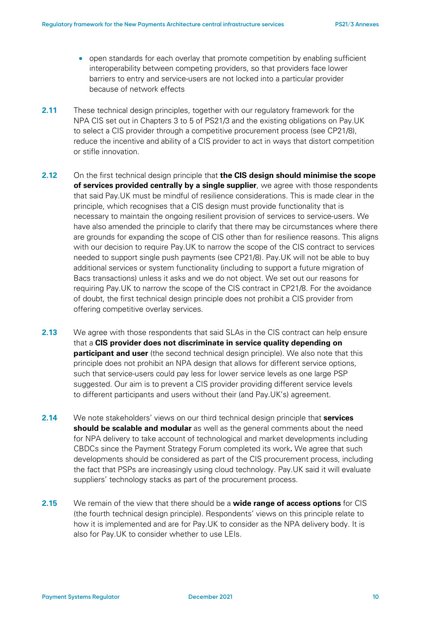- open standards for each overlay that promote competition by enabling sufficient interoperability between competing providers, so that providers face lower barriers to entry and service-users are not locked into a particular provider because of network effects
- **2.11** These technical design principles, together with our regulatory framework for the NPA CIS set out in Chapters 3 to 5 of PS21/3 and the existing obligations on Pay.UK to select a CIS provider through a competitive procurement process (see CP21/8), reduce the incentive and ability of a CIS provider to act in ways that distort competition or stifle innovation.
- **2.12** On the first technical design principle that **the CIS design should minimise the scope of services provided centrally by a single supplier**, we agree with those respondents that said Pay.UK must be mindful of resilience considerations. This is made clear in the principle, which recognises that a CIS design must provide functionality that is necessary to maintain the ongoing resilient provision of services to service-users. We have also amended the principle to clarify that there may be circumstances where there are grounds for expanding the scope of CIS other than for resilience reasons. This aligns with our decision to require Pay.UK to narrow the scope of the CIS contract to services needed to support single push payments (see CP21/8). Pay.UK will not be able to buy additional services or system functionality (including to support a future migration of Bacs transactions) unless it asks and we do not object. We set out our reasons for requiring Pay.UK to narrow the scope of the CIS contract in CP21/8. For the avoidance of doubt, the first technical design principle does not prohibit a CIS provider from offering competitive overlay services.
- **2.13** We agree with those respondents that said SLAs in the CIS contract can help ensure that a **CIS provider does not discriminate in service quality depending on participant and user** (the second technical design principle). We also note that this principle does not prohibit an NPA design that allows for different service options, such that service-users could pay less for lower service levels as one large PSP suggested. Our aim is to prevent a CIS provider providing different service levels to different participants and users without their (and Pay.UK's) agreement.
- **2.14** We note stakeholders' views on our third technical design principle that **services should be scalable and modular** as well as the general comments about the need for NPA delivery to take account of technological and market developments including CBDCs since the Payment Strategy Forum completed its work**.** We agree that such developments should be considered as part of the CIS procurement process, including the fact that PSPs are increasingly using cloud technology. Pay.UK said it will evaluate suppliers' technology stacks as part of the procurement process.
- <span id="page-9-0"></span>**2.15** We remain of the view that there should be a **wide range of access options** for CIS (the fourth technical design principle). Respondents' views on this principle relate to how it is implemented and are for Pay.UK to consider as the NPA delivery body. It is also for Pay.UK to consider whether to use LEIs.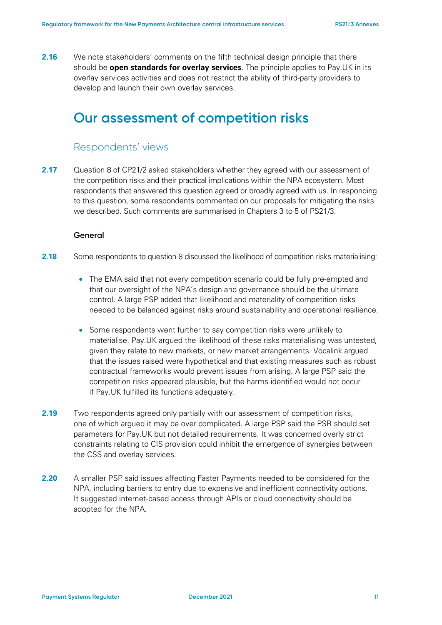**2.16** We note stakeholders' comments on the fifth technical design principle that there should be **open standards for overlay services**. The principle applies to Pay.UK in its overlay services activities and does not restrict the ability of third-party providers to develop and launch their own overlay services.

## **Our assessment of competition risks**

#### Respondents' views

**2.17** Question 8 of CP21/2 asked stakeholders whether they agreed with our assessment of the competition risks and their practical implications within the NPA ecosystem. Most respondents that answered this question agreed or broadly agreed with us. In responding to this question, some respondents commented on our proposals for mitigating the risks we described. Such comments are summarised in Chapters 3 to 5 of PS21/3.

#### **General**

- **2.18** Some respondents to question 8 discussed the likelihood of competition risks materialising:
	- The EMA said that not every competition scenario could be fully pre-empted and that our oversight of the NPA's design and governance should be the ultimate control. A large PSP added that likelihood and materiality of competition risks needed to be balanced against risks around sustainability and operational resilience.
	- Some respondents went further to say competition risks were unlikely to materialise. Pay.UK argued the likelihood of these risks materialising was untested, given they relate to new markets, or new market arrangements. Vocalink argued that the issues raised were hypothetical and that existing measures such as robust contractual frameworks would prevent issues from arising. A large PSP said the competition risks appeared plausible, but the harms identified would not occur if Pay.UK fulfilled its functions adequately.
- **2.19** Two respondents agreed only partially with our assessment of competition risks, one of which argued it may be over complicated. A large PSP said the PSR should set parameters for Pay.UK but not detailed requirements. It was concerned overly strict constraints relating to CIS provision could inhibit the emergence of synergies between the CSS and overlay services.
- **2.20** A smaller PSP said issues affecting Faster Payments needed to be considered for the NPA, including barriers to entry due to expensive and inefficient connectivity options. It suggested internet-based access through APIs or cloud connectivity should be adopted for the NPA.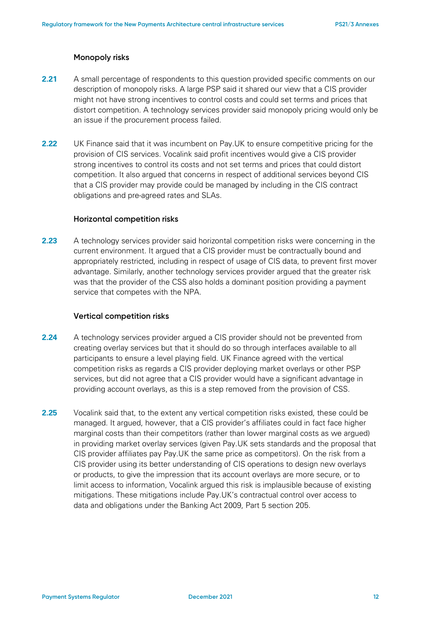#### **Monopoly risks**

- **2.21** A small percentage of respondents to this question provided specific comments on our description of monopoly risks. A large PSP said it shared our view that a CIS provider might not have strong incentives to control costs and could set terms and prices that distort competition. A technology services provider said monopoly pricing would only be an issue if the procurement process failed.
- **2.22** UK Finance said that it was incumbent on Pay.UK to ensure competitive pricing for the provision of CIS services. Vocalink said profit incentives would give a CIS provider strong incentives to control its costs and not set terms and prices that could distort competition. It also argued that concerns in respect of additional services beyond CIS that a CIS provider may provide could be managed by including in the CIS contract obligations and pre-agreed rates and SLAs.

#### **Horizontal competition risks**

**2.23** A technology services provider said horizontal competition risks were concerning in the current environment. It argued that a CIS provider must be contractually bound and appropriately restricted, including in respect of usage of CIS data, to prevent first mover advantage. Similarly, another technology services provider argued that the greater risk was that the provider of the CSS also holds a dominant position providing a payment service that competes with the NPA.

#### **Vertical competition risks**

- **2.24** A technology services provider argued a CIS provider should not be prevented from creating overlay services but that it should do so through interfaces available to all participants to ensure a level playing field. UK Finance agreed with the vertical competition risks as regards a CIS provider deploying market overlays or other PSP services, but did not agree that a CIS provider would have a significant advantage in providing account overlays, as this is a step removed from the provision of CSS.
- **2.25** Vocalink said that, to the extent any vertical competition risks existed, these could be managed. It argued, however, that a CIS provider's affiliates could in fact face higher marginal costs than their competitors (rather than lower marginal costs as we argued) in providing market overlay services (given Pay.UK sets standards and the proposal that CIS provider affiliates pay Pay.UK the same price as competitors). On the risk from a CIS provider using its better understanding of CIS operations to design new overlays or products, to give the impression that its account overlays are more secure, or to limit access to information, Vocalink argued this risk is implausible because of existing mitigations. These mitigations include Pay.UK's contractual control over access to data and obligations under the Banking Act 2009, Part 5 section 205.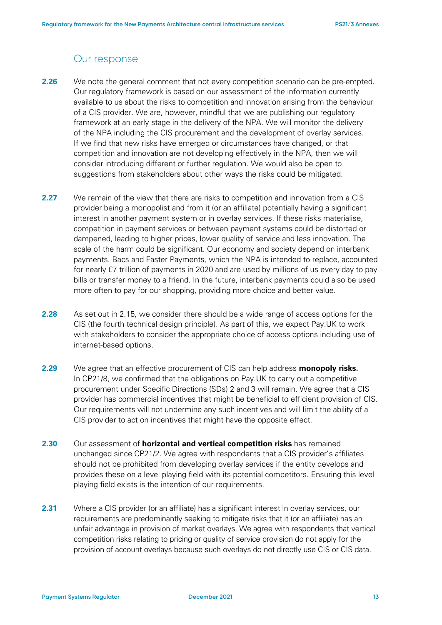### Our response

- **2.26** We note the general comment that not every competition scenario can be pre-empted. Our regulatory framework is based on our assessment of the information currently available to us about the risks to competition and innovation arising from the behaviour of a CIS provider. We are, however, mindful that we are publishing our regulatory framework at an early stage in the delivery of the NPA. We will monitor the delivery of the NPA including the CIS procurement and the development of overlay services. If we find that new risks have emerged or circumstances have changed, or that competition and innovation are not developing effectively in the NPA, then we will consider introducing different or further regulation. We would also be open to suggestions from stakeholders about other ways the risks could be mitigated.
- **2.27** We remain of the view that there are risks to competition and innovation from a CIS provider being a monopolist and from it (or an affiliate) potentially having a significant interest in another payment system or in overlay services. If these risks materialise, competition in payment services or between payment systems could be distorted or dampened, leading to higher prices, lower quality of service and less innovation. The scale of the harm could be significant. Our economy and society depend on interbank payments. Bacs and Faster Payments, which the NPA is intended to replace, accounted for nearly £7 trillion of payments in 2020 and are used by millions of us every day to pay bills or transfer money to a friend. In the future, interbank payments could also be used more often to pay for our shopping, providing more choice and better value.
- **2.28** As set out in [2.15,](#page-9-0) we consider there should be a wide range of access options for the CIS (the fourth technical design principle). As part of this, we expect Pay.UK to work with stakeholders to consider the appropriate choice of access options including use of internet-based options.
- **2.29** We agree that an effective procurement of CIS can help address **monopoly risks.**  In CP21/8, we confirmed that the obligations on Pay.UK to carry out a competitive procurement under Specific Directions (SDs) 2 and 3 will remain. We agree that a CIS provider has commercial incentives that might be beneficial to efficient provision of CIS. Our requirements will not undermine any such incentives and will limit the ability of a CIS provider to act on incentives that might have the opposite effect.
- **2.30** Our assessment of **horizontal and vertical competition risks** has remained unchanged since CP21/2. We agree with respondents that a CIS provider's affiliates should not be prohibited from developing overlay services if the entity develops and provides these on a level playing field with its potential competitors. Ensuring this level playing field exists is the intention of our requirements.
- <span id="page-12-0"></span>**2.31** Where a CIS provider (or an affiliate) has a significant interest in overlay services, our requirements are predominantly seeking to mitigate risks that it (or an affiliate) has an unfair advantage in provision of market overlays. We agree with respondents that vertical competition risks relating to pricing or quality of service provision do not apply for the provision of account overlays because such overlays do not directly use CIS or CIS data.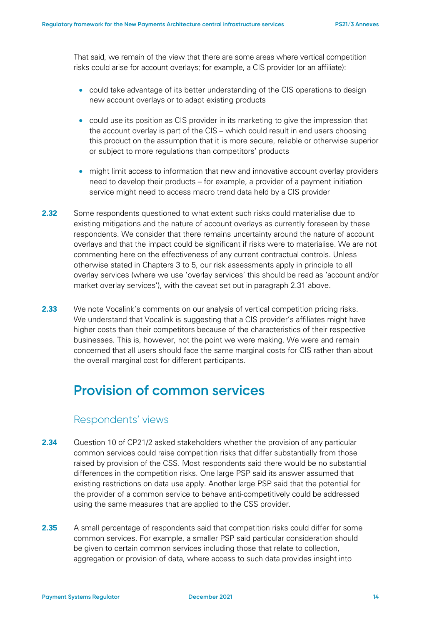That said, we remain of the view that there are some areas where vertical competition risks could arise for account overlays; for example, a CIS provider (or an affiliate):

- could take advantage of its better understanding of the CIS operations to design new account overlays or to adapt existing products
- could use its position as CIS provider in its marketing to give the impression that the account overlay is part of the CIS – which could result in end users choosing this product on the assumption that it is more secure, reliable or otherwise superior or subject to more regulations than competitors' products
- might limit access to information that new and innovative account overlay providers need to develop their products – for example, a provider of a payment initiation service might need to access macro trend data held by a CIS provider
- **2.32** Some respondents questioned to what extent such risks could materialise due to existing mitigations and the nature of account overlays as currently foreseen by these respondents. We consider that there remains uncertainty around the nature of account overlays and that the impact could be significant if risks were to materialise. We are not commenting here on the effectiveness of any current contractual controls. Unless otherwise stated in Chapters 3 to 5, our risk assessments apply in principle to all overlay services (where we use 'overlay services' this should be read as 'account and/or market overlay services'), with the caveat set out in paragraph [2.31](#page-12-0) above.
- **2.33** We note Vocalink's comments on our analysis of vertical competition pricing risks. We understand that Vocalink is suggesting that a CIS provider's affiliates might have higher costs than their competitors because of the characteristics of their respective businesses. This is, however, not the point we were making. We were and remain concerned that all users should face the same marginal costs for CIS rather than about the overall marginal cost for different participants.

## **Provision of common services**

### Respondents' views

- **2.34** Question 10 of CP21/2 asked stakeholders whether the provision of any particular common services could raise competition risks that differ substantially from those raised by provision of the CSS. Most respondents said there would be no substantial differences in the competition risks. One large PSP said its answer assumed that existing restrictions on data use apply. Another large PSP said that the potential for the provider of a common service to behave anti-competitively could be addressed using the same measures that are applied to the CSS provider.
- **2.35** A small percentage of respondents said that competition risks could differ for some common services. For example, a smaller PSP said particular consideration should be given to certain common services including those that relate to collection, aggregation or provision of data, where access to such data provides insight into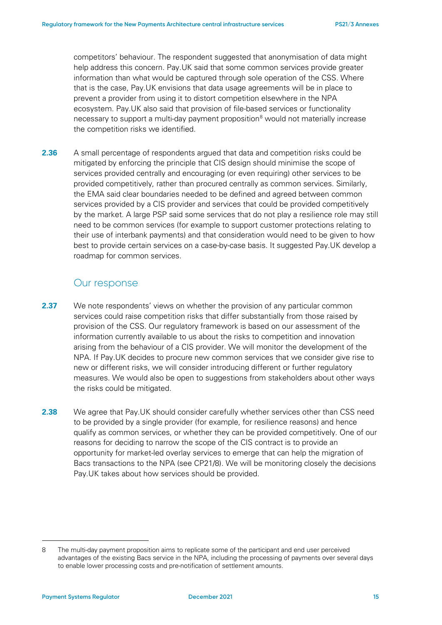competitors' behaviour. The respondent suggested that anonymisation of data might help address this concern. Pay.UK said that some common services provide greater information than what would be captured through sole operation of the CSS. Where that is the case, Pay.UK envisions that data usage agreements will be in place to prevent a provider from using it to distort competition elsewhere in the NPA ecosystem. Pay.UK also said that provision of file-based services or functionality necessary to support a multi-day payment proposition<sup>[8](#page-14-0)</sup> would not materially increase the competition risks we identified.

**2.36** A small percentage of respondents argued that data and competition risks could be mitigated by enforcing the principle that CIS design should minimise the scope of services provided centrally and encouraging (or even requiring) other services to be provided competitively, rather than procured centrally as common services. Similarly, the EMA said clear boundaries needed to be defined and agreed between common services provided by a CIS provider and services that could be provided competitively by the market. A large PSP said some services that do not play a resilience role may still need to be common services (for example to support customer protections relating to their use of interbank payments) and that consideration would need to be given to how best to provide certain services on a case-by-case basis. It suggested Pay.UK develop a roadmap for common services.

### Our response

- **2.37** We note respondents' views on whether the provision of any particular common services could raise competition risks that differ substantially from those raised by provision of the CSS. Our regulatory framework is based on our assessment of the information currently available to us about the risks to competition and innovation arising from the behaviour of a CIS provider. We will monitor the development of the NPA. If Pay.UK decides to procure new common services that we consider give rise to new or different risks, we will consider introducing different or further regulatory measures. We would also be open to suggestions from stakeholders about other ways the risks could be mitigated.
- **2.38** We agree that Pay.UK should consider carefully whether services other than CSS need to be provided by a single provider (for example, for resilience reasons) and hence qualify as common services, or whether they can be provided competitively. One of our reasons for deciding to narrow the scope of the CIS contract is to provide an opportunity for market-led overlay services to emerge that can help the migration of Bacs transactions to the NPA (see CP21/8). We will be monitoring closely the decisions Pay.UK takes about how services should be provided.

<span id="page-14-0"></span><sup>8</sup> The multi-day payment proposition aims to replicate some of the participant and end user perceived advantages of the existing Bacs service in the NPA, including the processing of payments over several days to enable lower processing costs and pre-notification of settlement amounts.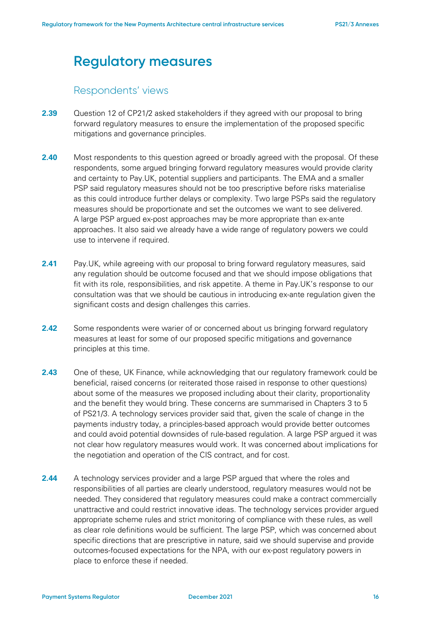## **Regulatory measures**

### Respondents' views

- **2.39** Question 12 of CP21/2 asked stakeholders if they agreed with our proposal to bring forward regulatory measures to ensure the implementation of the proposed specific mitigations and governance principles.
- **2.40** Most respondents to this question agreed or broadly agreed with the proposal. Of these respondents, some argued bringing forward regulatory measures would provide clarity and certainty to Pay.UK, potential suppliers and participants. The EMA and a smaller PSP said regulatory measures should not be too prescriptive before risks materialise as this could introduce further delays or complexity. Two large PSPs said the regulatory measures should be proportionate and set the outcomes we want to see delivered. A large PSP argued ex-post approaches may be more appropriate than ex-ante approaches. It also said we already have a wide range of regulatory powers we could use to intervene if required.
- **2.41** Pay.UK, while agreeing with our proposal to bring forward regulatory measures, said any regulation should be outcome focused and that we should impose obligations that fit with its role, responsibilities, and risk appetite. A theme in Pay.UK's response to our consultation was that we should be cautious in introducing ex-ante regulation given the significant costs and design challenges this carries.
- **2.42** Some respondents were warier of or concerned about us bringing forward regulatory measures at least for some of our proposed specific mitigations and governance principles at this time.
- **2.43** One of these, UK Finance, while acknowledging that our regulatory framework could be beneficial, raised concerns (or reiterated those raised in response to other questions) about some of the measures we proposed including about their clarity, proportionality and the benefit they would bring. These concerns are summarised in Chapters 3 to 5 of PS21/3. A technology services provider said that, given the scale of change in the payments industry today, a principles-based approach would provide better outcomes and could avoid potential downsides of rule-based regulation. A large PSP argued it was not clear how regulatory measures would work. It was concerned about implications for the negotiation and operation of the CIS contract, and for cost.
- **2.44** A technology services provider and a large PSP argued that where the roles and responsibilities of all parties are clearly understood, regulatory measures would not be needed. They considered that regulatory measures could make a contract commercially unattractive and could restrict innovative ideas. The technology services provider argued appropriate scheme rules and strict monitoring of compliance with these rules, as well as clear role definitions would be sufficient. The large PSP, which was concerned about specific directions that are prescriptive in nature, said we should supervise and provide outcomes-focused expectations for the NPA, with our ex-post regulatory powers in place to enforce these if needed.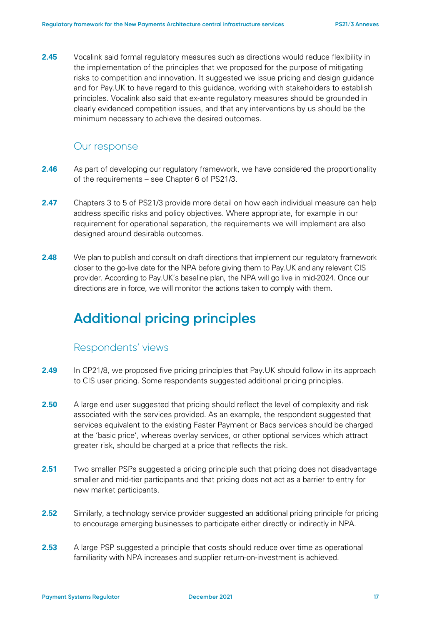**2.45** Vocalink said formal regulatory measures such as directions would reduce flexibility in the implementation of the principles that we proposed for the purpose of mitigating risks to competition and innovation. It suggested we issue pricing and design guidance and for Pay.UK to have regard to this guidance, working with stakeholders to establish principles. Vocalink also said that ex-ante regulatory measures should be grounded in clearly evidenced competition issues, and that any interventions by us should be the minimum necessary to achieve the desired outcomes.

#### Our response

- **2.46** As part of developing our regulatory framework, we have considered the proportionality of the requirements – see Chapter 6 of PS21/3.
- **2.47** Chapters 3 to 5 of PS21/3 provide more detail on how each individual measure can help address specific risks and policy objectives. Where appropriate, for example in our requirement for operational separation, the requirements we will implement are also designed around desirable outcomes.
- **2.48** We plan to publish and consult on draft directions that implement our regulatory framework closer to the go-live date for the NPA before giving them to Pay.UK and any relevant CIS provider. According to Pay.UK's baseline plan, the NPA will go live in mid-2024. Once our directions are in force, we will monitor the actions taken to comply with them.

## **Additional pricing principles**

#### Respondents' views

- **2.49** In CP21/8, we proposed five pricing principles that Pay.UK should follow in its approach to CIS user pricing. Some respondents suggested additional pricing principles.
- **2.50** A large end user suggested that pricing should reflect the level of complexity and risk associated with the services provided. As an example, the respondent suggested that services equivalent to the existing Faster Payment or Bacs services should be charged at the 'basic price', whereas overlay services, or other optional services which attract greater risk, should be charged at a price that reflects the risk.
- **2.51** Two smaller PSPs suggested a pricing principle such that pricing does not disadvantage smaller and mid-tier participants and that pricing does not act as a barrier to entry for new market participants.
- **2.52** Similarly, a technology service provider suggested an additional pricing principle for pricing to encourage emerging businesses to participate either directly or indirectly in NPA.
- **2.53** A large PSP suggested a principle that costs should reduce over time as operational familiarity with NPA increases and supplier return-on-investment is achieved.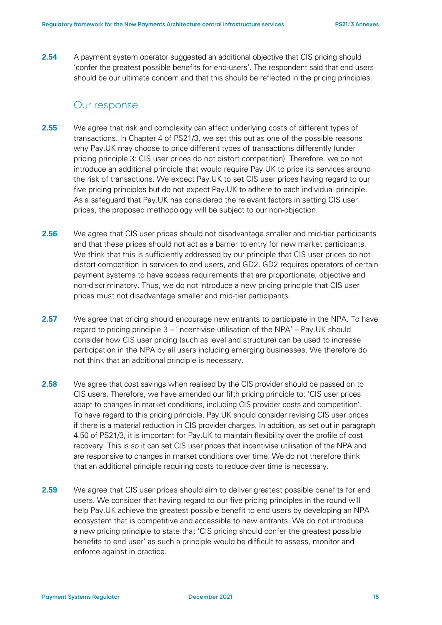**2.54** A payment system operator suggested an additional objective that CIS pricing should 'confer the greatest possible benefits for end-users'. The respondent said that end users should be our ultimate concern and that this should be reflected in the pricing principles.

#### Our response

- **2.55** We agree that risk and complexity can affect underlying costs of different types of transactions. In Chapter 4 of PS21/3, we set this out as one of the possible reasons why Pay.UK may choose to price different types of transactions differently (under pricing principle 3: CIS user prices do not distort competition). Therefore, we do not introduce an additional principle that would require Pay.UK to price its services around the risk of transactions. We expect Pay.UK to set CIS user prices having regard to our five pricing principles but do not expect Pay.UK to adhere to each individual principle. As a safeguard that Pay.UK has considered the relevant factors in setting CIS user prices, the proposed methodology will be subject to our non-objection.
- **2.56** We agree that CIS user prices should not disadvantage smaller and mid-tier participants and that these prices should not act as a barrier to entry for new market participants. We think that this is sufficiently addressed by our principle that CIS user prices do not distort competition in services to end users, and GD2. GD2 requires operators of certain payment systems to have access requirements that are proportionate, objective and non-discriminatory. Thus, we do not introduce a new pricing principle that CIS user prices must not disadvantage smaller and mid-tier participants.
- **2.57** We agree that pricing should encourage new entrants to participate in the NPA. To have regard to pricing principle 3 – 'incentivise utilisation of the NPA' – Pay.UK should consider how CIS user pricing (such as level and structure) can be used to increase participation in the NPA by all users including emerging businesses. We therefore do not think that an additional principle is necessary.
- **2.58** We agree that cost savings when realised by the CIS provider should be passed on to CIS users. Therefore, we have amended our fifth pricing principle to: 'CIS user prices adapt to changes in market conditions, including CIS provider costs and competition'. To have regard to this pricing principle, Pay.UK should consider revising CIS user prices if there is a material reduction in CIS provider charges. In addition, as set out in paragraph 4.50 of PS21/3, it is important for Pay.UK to maintain flexibility over the profile of cost recovery. This is so it can set CIS user prices that incentivise utilisation of the NPA and are responsive to changes in market conditions over time. We do not therefore think that an additional principle requiring costs to reduce over time is necessary.
- **2.59** We agree that CIS user prices should aim to deliver greatest possible benefits for end users. We consider that having regard to our five pricing principles in the round will help Pay.UK achieve the greatest possible benefit to end users by developing an NPA ecosystem that is competitive and accessible to new entrants. We do not introduce a new pricing principle to state that 'CIS pricing should confer the greatest possible benefits to end user' as such a principle would be difficult to assess, monitor and enforce against in practice.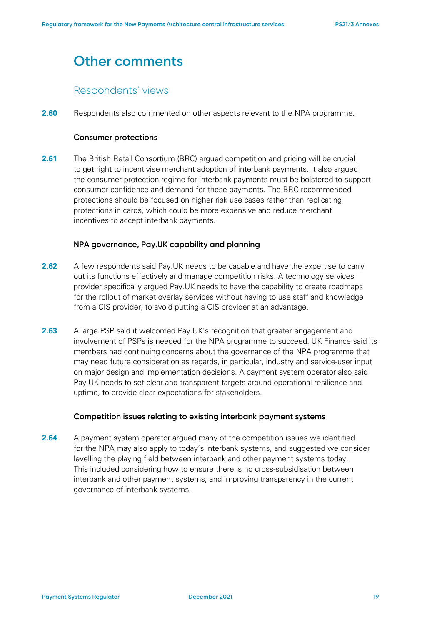## **Other comments**

### Respondents' views

**2.60** Respondents also commented on other aspects relevant to the NPA programme.

#### **Consumer protections**

**2.61** The British Retail Consortium (BRC) argued competition and pricing will be crucial to get right to incentivise merchant adoption of interbank payments. It also argued the consumer protection regime for interbank payments must be bolstered to support consumer confidence and demand for these payments. The BRC recommended protections should be focused on higher risk use cases rather than replicating protections in cards, which could be more expensive and reduce merchant incentives to accept interbank payments.

#### **NPA governance, Pay.UK capability and planning**

- **2.62** A few respondents said Pay.UK needs to be capable and have the expertise to carry out its functions effectively and manage competition risks. A technology services provider specifically argued Pay.UK needs to have the capability to create roadmaps for the rollout of market overlay services without having to use staff and knowledge from a CIS provider, to avoid putting a CIS provider at an advantage.
- **2.63** A large PSP said it welcomed Pay.UK's recognition that greater engagement and involvement of PSPs is needed for the NPA programme to succeed. UK Finance said its members had continuing concerns about the governance of the NPA programme that may need future consideration as regards, in particular, industry and service-user input on major design and implementation decisions. A payment system operator also said Pay.UK needs to set clear and transparent targets around operational resilience and uptime, to provide clear expectations for stakeholders.

#### **Competition issues relating to existing interbank payment systems**

**2.64** A payment system operator argued many of the competition issues we identified for the NPA may also apply to today's interbank systems, and suggested we consider levelling the playing field between interbank and other payment systems today. This included considering how to ensure there is no cross-subsidisation between interbank and other payment systems, and improving transparency in the current governance of interbank systems.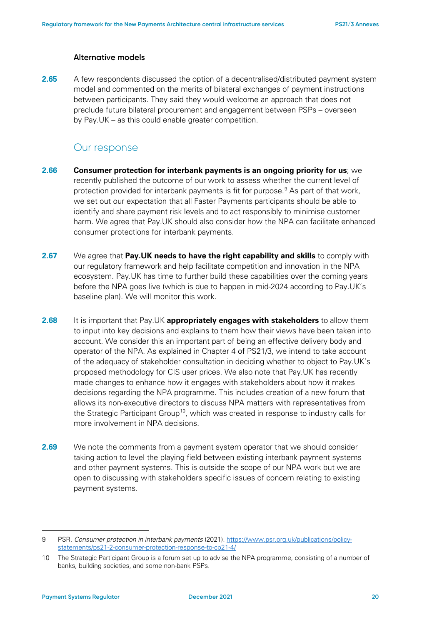#### **Alternative models**

**2.65** A few respondents discussed the option of a decentralised/distributed payment system model and commented on the merits of bilateral exchanges of payment instructions between participants. They said they would welcome an approach that does not preclude future bilateral procurement and engagement between PSPs – overseen by Pay.UK – as this could enable greater competition.

#### Our response

- **2.66 Consumer protection for interbank payments is an ongoing priority for us**; we recently published the outcome of our work to assess whether the current level of protection provided for interbank payments is fit for purpose.<sup>[9](#page-19-0)</sup> As part of that work, we set out our expectation that all Faster Payments participants should be able to identify and share payment risk levels and to act responsibly to minimise customer harm. We agree that Pay.UK should also consider how the NPA can facilitate enhanced consumer protections for interbank payments.
- **2.67** We agree that **Pay.UK needs to have the right capability and skills** to comply with our regulatory framework and help facilitate competition and innovation in the NPA ecosystem. Pay.UK has time to further build these capabilities over the coming years before the NPA goes live (which is due to happen in mid-2024 according to Pay.UK's baseline plan). We will monitor this work.
- **2.68** It is important that Pay.UK **appropriately engages with stakeholders** to allow them to input into key decisions and explains to them how their views have been taken into account. We consider this an important part of being an effective delivery body and operator of the NPA. As explained in Chapter 4 of PS21/3, we intend to take account of the adequacy of stakeholder consultation in deciding whether to object to Pay.UK's proposed methodology for CIS user prices. We also note that Pay.UK has recently made changes to enhance how it engages with stakeholders about how it makes decisions regarding the NPA programme. This includes creation of a new forum that allows its non-executive directors to discuss NPA matters with representatives from the Strategic Participant Group<sup>10</sup>, which was created in response to industry calls for more involvement in NPA decisions.
- **2.69** We note the comments from a payment system operator that we should consider taking action to level the playing field between existing interbank payment systems and other payment systems. This is outside the scope of our NPA work but we are open to discussing with stakeholders specific issues of concern relating to existing payment systems.

<span id="page-19-0"></span><sup>9</sup> PSR, *Consumer protection in interbank payments* (2021)[. https://www.psr.org.uk/publications/policy](https://www.psr.org.uk/publications/policy-statements/ps21-2-consumer-protection-response-to-cp21-4/)[statements/ps21-2-consumer-protection-response-to-cp21-4/](https://www.psr.org.uk/publications/policy-statements/ps21-2-consumer-protection-response-to-cp21-4/)

<span id="page-19-1"></span><sup>10</sup> The Strategic Participant Group is a forum set up to advise the NPA programme, consisting of a number of banks, building societies, and some non-bank PSPs.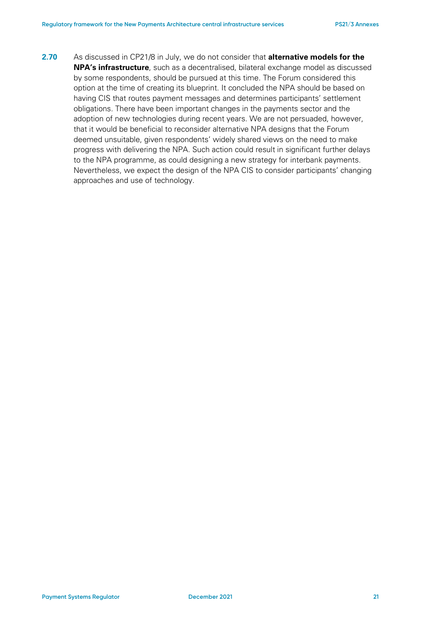**2.70** As discussed in CP21/8 in July, we do not consider that **alternative models for the NPA's infrastructure**, such as a decentralised, bilateral exchange model as discussed by some respondents, should be pursued at this time. The Forum considered this option at the time of creating its blueprint. It concluded the NPA should be based on having CIS that routes payment messages and determines participants' settlement obligations. There have been important changes in the payments sector and the adoption of new technologies during recent years. We are not persuaded, however, that it would be beneficial to reconsider alternative NPA designs that the Forum deemed unsuitable, given respondents' widely shared views on the need to make progress with delivering the NPA. Such action could result in significant further delays to the NPA programme, as could designing a new strategy for interbank payments. Nevertheless, we expect the design of the NPA CIS to consider participants' changing approaches and use of technology.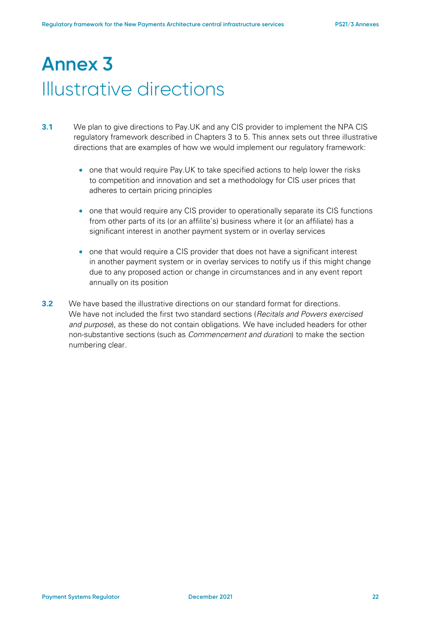# **Annex 3**  Illustrative directions

- **3.1** We plan to give directions to Pay.UK and any CIS provider to implement the NPA CIS regulatory framework described in Chapters 3 to 5. This annex sets out three illustrative directions that are examples of how we would implement our regulatory framework:
	- one that would require Pay.UK to take specified actions to help lower the risks to competition and innovation and set a methodology for CIS user prices that adheres to certain pricing principles
	- one that would require any CIS provider to operationally separate its CIS functions from other parts of its (or an affilite's) business where it (or an affiliate) has a significant interest in another payment system or in overlay services
	- one that would require a CIS provider that does not have a significant interest in another payment system or in overlay services to notify us if this might change due to any proposed action or change in circumstances and in any event report annually on its position
- **3.2** We have based the illustrative directions on our standard format for directions. We have not included the first two standard sections (*Recitals and Powers exercised and purpose*), as these do not contain obligations. We have included headers for other non-substantive sections (such as *Commencement and duration*) to make the section numbering clear.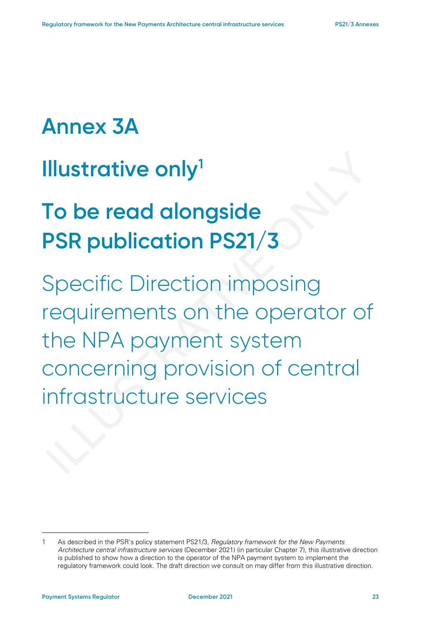# **Annex 3A**

# **Illustrative only[1](#page-22-0)**

# **To be read alongside PSR publication PS21/3**

Specific Direction imposing requirements on the operator of the NPA payment system concerning provision of central infrastructure services

<span id="page-22-0"></span><sup>1</sup> As described in the PSR's policy statement PS21/3, *Regulatory framework for the New Payments Architecture central infrastructure services* (December 2021) (in particular Chapter 7), this illustrative direction is published to show how a direction to the operator of the NPA payment system to implement the regulatory framework could look. The draft direction we consult on may differ from this illustrative direction.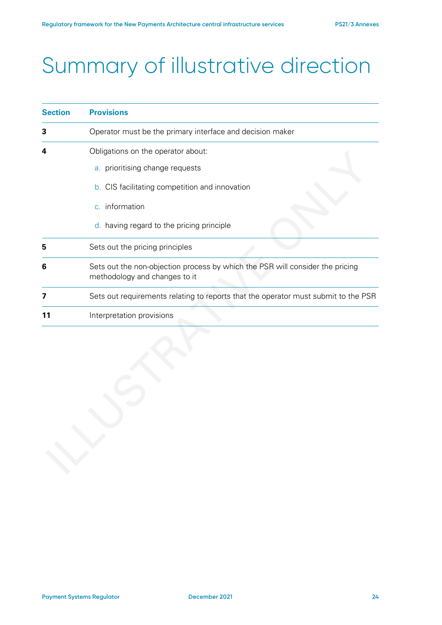# Summary of illustrative direction

| Operator must be the primary interface and decision maker<br>3<br>Obligations on the operator about:<br>a. prioritising change requests<br><b>b.</b> CIS facilitating competition and innovation<br>c. information<br>d. having regard to the pricing principle<br>Sets out the pricing principles<br>5<br>Sets out the non-objection process by which the PSR will consider the pricing<br>6<br>methodology and changes to it<br>7 | <b>Section</b> | <b>Provisions</b>                                                                  |  |
|-------------------------------------------------------------------------------------------------------------------------------------------------------------------------------------------------------------------------------------------------------------------------------------------------------------------------------------------------------------------------------------------------------------------------------------|----------------|------------------------------------------------------------------------------------|--|
|                                                                                                                                                                                                                                                                                                                                                                                                                                     |                |                                                                                    |  |
|                                                                                                                                                                                                                                                                                                                                                                                                                                     |                |                                                                                    |  |
|                                                                                                                                                                                                                                                                                                                                                                                                                                     |                |                                                                                    |  |
|                                                                                                                                                                                                                                                                                                                                                                                                                                     |                |                                                                                    |  |
|                                                                                                                                                                                                                                                                                                                                                                                                                                     |                |                                                                                    |  |
|                                                                                                                                                                                                                                                                                                                                                                                                                                     |                | Sets out requirements relating to reports that the operator must submit to the PSR |  |
|                                                                                                                                                                                                                                                                                                                                                                                                                                     |                | Interpretation provisions                                                          |  |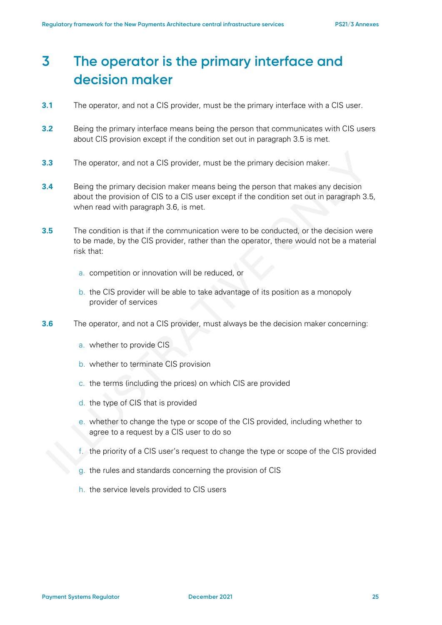## **3 The operator is the primary interface and decision maker**

- **3.1** The operator, and not a CIS provider, must be the primary interface with a CIS user.
- **3.2** Being the primary interface means being the person that communicates with CIS users about CIS provision except if the condition set out in paragraph 3.5 is met.
- **3.3** The operator, and not a CIS provider, must be the primary decision maker.
- **3.4** Being the primary decision maker means being the person that makes any decision about the provision of CIS to a CIS user except if the condition set out in paragraph 3.5, when read with paragraph 3.6, is met.
- **3.5** The condition is that if the communication were to be conducted, or the decision were to be made, by the CIS provider, rather than the operator, there would not be a material risk that:
	- a. competition or innovation will be reduced, or
	- b. the CIS provider will be able to take advantage of its position as a monopoly provider of services
- **3.6** The operator, and not a CIS provider, must always be the decision maker concerning:
	- a. whether to provide CIS
	- b. whether to terminate CIS provision
	- c. the terms (including the prices) on which CIS are provided
	- d. the type of CIS that is provided
	- e. whether to change the type or scope of the CIS provided, including whether to agree to a request by a CIS user to do so
	- f. the priority of a CIS user's request to change the type or scope of the CIS provided
	- g. the rules and standards concerning the provision of CIS
	- h. the service levels provided to CIS users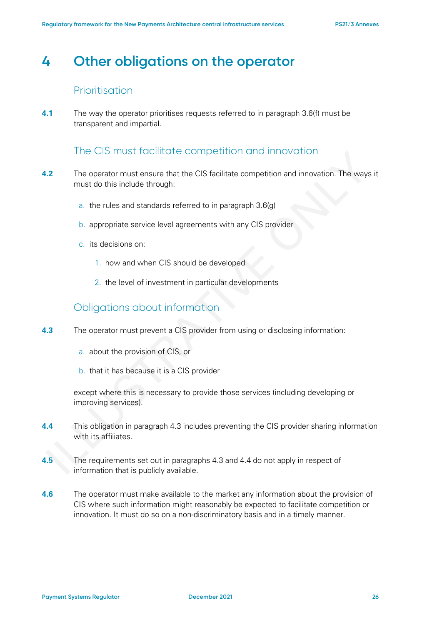## **4 Other obligations on the operator**

### Prioritisation

**4.1** The way the operator prioritises requests referred to in paragraph 3.6(f) must be transparent and impartial.

### The CIS must facilitate competition and innovation

- **4.2** The operator must ensure that the CIS facilitate competition and innovation. The ways it must do this include through:
	- a. the rules and standards referred to in paragraph 3.6(g)
	- b. appropriate service level agreements with any CIS provider
	- c. its decisions on:
		- 1. how and when CIS should be developed
		- 2. the level of investment in particular developments

### Obligations about information

- **4.3** The operator must prevent a CIS provider from using or disclosing information:
	- a. about the provision of CIS, or
	- b. that it has because it is a CIS provider

except where this is necessary to provide those services (including developing or improving services).

- **4.4** This obligation in paragraph 4.3 includes preventing the CIS provider sharing information with its affiliates.
- **4.5** The requirements set out in paragraphs 4.3 and 4.4 do not apply in respect of information that is publicly available.
- **4.6** The operator must make available to the market any information about the provision of CIS where such information might reasonably be expected to facilitate competition or innovation. It must do so on a non-discriminatory basis and in a timely manner.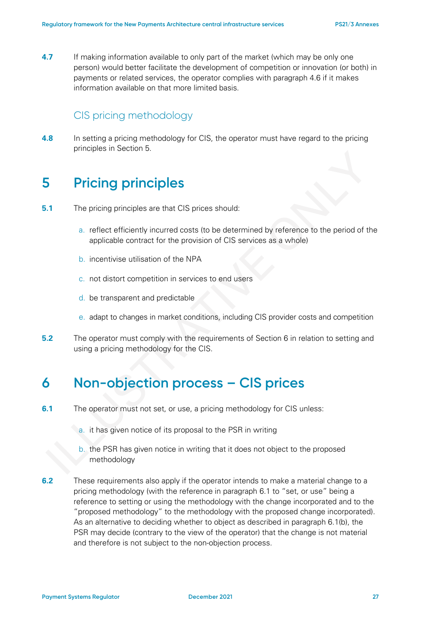**4.7** If making information available to only part of the market (which may be only one person) would better facilitate the development of competition or innovation (or both) in payments or related services, the operator complies with paragraph 4.6 if it makes information available on that more limited basis.

### CIS pricing methodology

**4.8** In setting a pricing methodology for CIS, the operator must have regard to the pricing principles in Section 5.

## **5 Pricing principles**

- **5.1** The pricing principles are that CIS prices should:
	- a. reflect efficiently incurred costs (to be determined by reference to the period of the applicable contract for the provision of CIS services as a whole)
	- b. incentivise utilisation of the NPA
	- c. not distort competition in services to end users
	- d. be transparent and predictable
	- e. adapt to changes in market conditions, including CIS provider costs and competition
- **5.2** The operator must comply with the requirements of Section 6 in relation to setting and using a pricing methodology for the CIS.

## **6 Non-objection process – CIS prices**

- **6.1** The operator must not set, or use, a pricing methodology for CIS unless:
	- a. it has given notice of its proposal to the PSR in writing
	- b. the PSR has given notice in writing that it does not object to the proposed methodology
- **6.2** These requirements also apply if the operator intends to make a material change to a pricing methodology (with the reference in paragraph 6.1 to "set, or use" being a reference to setting or using the methodology with the change incorporated and to the "proposed methodology" to the methodology with the proposed change incorporated). As an alternative to deciding whether to object as described in paragraph 6.1(b), the PSR may decide (contrary to the view of the operator) that the change is not material and therefore is not subject to the non-objection process.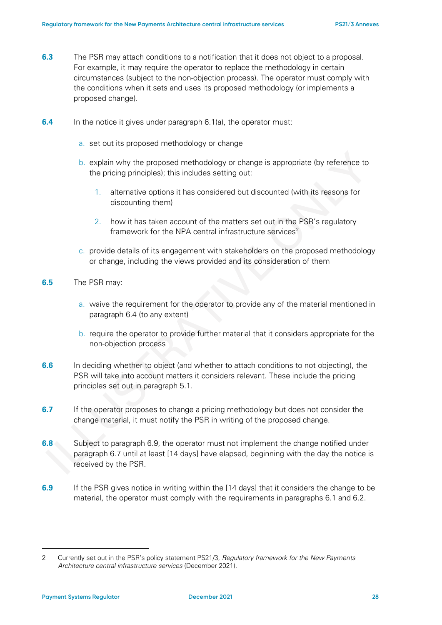- **6.3** The PSR may attach conditions to a notification that it does not object to a proposal. For example, it may require the operator to replace the methodology in certain circumstances (subject to the non-objection process). The operator must comply with the conditions when it sets and uses its proposed methodology (or implements a proposed change).
- **6.4** In the notice it gives under paragraph 6.1(a), the operator must:
	- a. set out its proposed methodology or change
	- b. explain why the proposed methodology or change is appropriate (by reference to the pricing principles); this includes setting out:
		- 1. alternative options it has considered but discounted (with its reasons for discounting them)
		- 2. how it has taken account of the matters set out in the PSR's regulatory framework for the NPA central infrastructure services<sup>[2](#page-27-0)</sup>
	- c. provide details of its engagement with stakeholders on the proposed methodology or change, including the views provided and its consideration of them
- **6.5** The PSR may:
	- a. waive the requirement for the operator to provide any of the material mentioned in paragraph 6.4 (to any extent)
	- b. require the operator to provide further material that it considers appropriate for the non-objection process
- **6.6** In deciding whether to object (and whether to attach conditions to not objecting), the PSR will take into account matters it considers relevant. These include the pricing principles set out in paragraph 5.1.
- **6.7** If the operator proposes to change a pricing methodology but does not consider the change material, it must notify the PSR in writing of the proposed change.
- **6.8** Subject to paragraph 6.9, the operator must not implement the change notified under paragraph 6.7 until at least [14 days] have elapsed, beginning with the day the notice is received by the PSR.
- **6.9** If the PSR gives notice in writing within the [14 days] that it considers the change to be material, the operator must comply with the requirements in paragraphs 6.1 and 6.2.

<span id="page-27-0"></span><sup>2</sup> Currently set out in the PSR's policy statement PS21/3, *Regulatory framework for the New Payments Architecture central infrastructure services* (December 2021).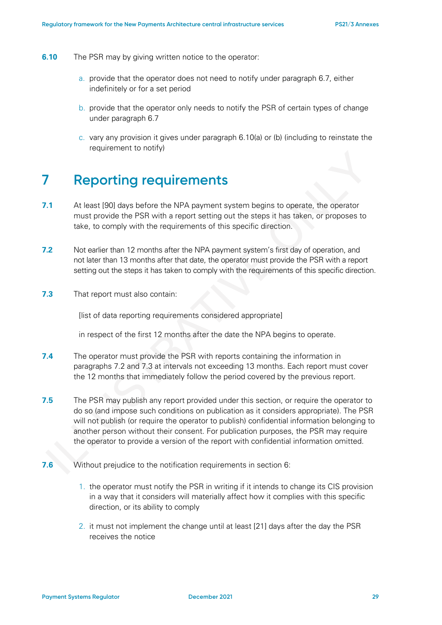- **6.10** The PSR may by giving written notice to the operator:
	- a. provide that the operator does not need to notify under paragraph 6.7, either indefinitely or for a set period
	- b. provide that the operator only needs to notify the PSR of certain types of change under paragraph 6.7
	- c. vary any provision it gives under paragraph 6.10(a) or (b) (including to reinstate the requirement to notify)

## **7 Reporting requirements**

- **7.1** At least [90] days before the NPA payment system begins to operate, the operator must provide the PSR with a report setting out the steps it has taken, or proposes to take, to comply with the requirements of this specific direction.
- **7.2** Not earlier than 12 months after the NPA payment system's first day of operation, and not later than 13 months after that date, the operator must provide the PSR with a report setting out the steps it has taken to comply with the requirements of this specific direction.
- **7.3** That report must also contain:

[list of data reporting requirements considered appropriate]

in respect of the first 12 months after the date the NPA begins to operate.

- **7.4** The operator must provide the PSR with reports containing the information in paragraphs 7.2 and 7.3 at intervals not exceeding 13 months. Each report must cover the 12 months that immediately follow the period covered by the previous report.
- **7.5** The PSR may publish any report provided under this section, or require the operator to do so (and impose such conditions on publication as it considers appropriate). The PSR will not publish (or require the operator to publish) confidential information belonging to another person without their consent. For publication purposes, the PSR may require the operator to provide a version of the report with confidential information omitted.
- **7.6** Without prejudice to the notification requirements in section 6:
	- 1. the operator must notify the PSR in writing if it intends to change its CIS provision in a way that it considers will materially affect how it complies with this specific direction, or its ability to comply
	- 2. it must not implement the change until at least [21] days after the day the PSR receives the notice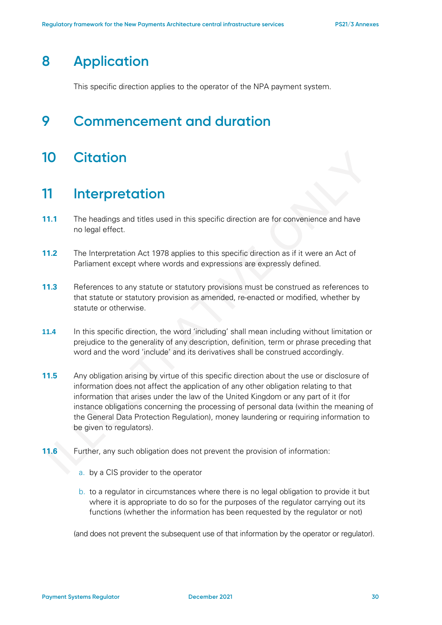## **8 Application**

This specific direction applies to the operator of the NPA payment system.

## **9 Commencement and duration**

## **10 Citation**

### **11 Interpretation**

- **11.1** The headings and titles used in this specific direction are for convenience and have no legal effect.
- **11.2** The Interpretation Act 1978 applies to this specific direction as if it were an Act of Parliament except where words and expressions are expressly defined.
- **11.3** References to any statute or statutory provisions must be construed as references to that statute or statutory provision as amended, re-enacted or modified, whether by statute or otherwise.
- **11.4** In this specific direction, the word 'including' shall mean including without limitation or prejudice to the generality of any description, definition, term or phrase preceding that word and the word 'include' and its derivatives shall be construed accordingly.
- **11.5** Any obligation arising by virtue of this specific direction about the use or disclosure of information does not affect the application of any other obligation relating to that information that arises under the law of the United Kingdom or any part of it (for instance obligations concerning the processing of personal data (within the meaning of the General Data Protection Regulation), money laundering or requiring information to be given to regulators).
- **11.6** Further, any such obligation does not prevent the provision of information:
	- a. by a CIS provider to the operator
	- b. to a regulator in circumstances where there is no legal obligation to provide it but where it is appropriate to do so for the purposes of the regulator carrying out its functions (whether the information has been requested by the regulator or not)

(and does not prevent the subsequent use of that information by the operator or regulator).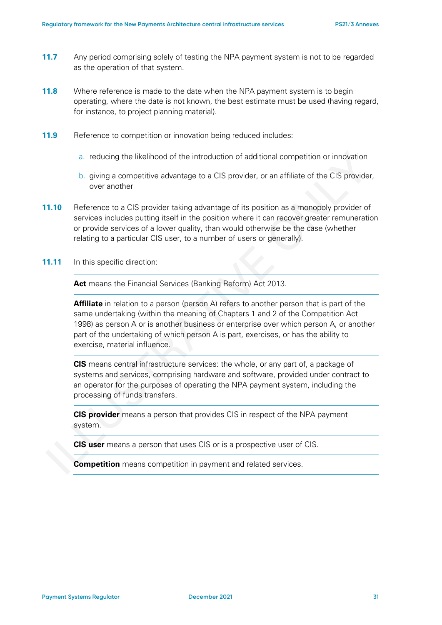- **11.7** Any period comprising solely of testing the NPA payment system is not to be regarded as the operation of that system.
- **11.8** Where reference is made to the date when the NPA payment system is to begin operating, where the date is not known, the best estimate must be used (having regard, for instance, to project planning material).
- **11.9** Reference to competition or innovation being reduced includes:
	- a. reducing the likelihood of the introduction of additional competition or innovation
	- b. giving a competitive advantage to a CIS provider, or an affiliate of the CIS provider, over another
- **11.10** Reference to a CIS provider taking advantage of its position as a monopoly provider of services includes putting itself in the position where it can recover greater remuneration or provide services of a lower quality, than would otherwise be the case (whether relating to a particular CIS user, to a number of users or generally).
- **11.11** In this specific direction:

**Act** means the Financial Services (Banking Reform) Act 2013.

**Affiliate** in relation to a person (person A) refers to another person that is part of the same undertaking (within the meaning of Chapters 1 and 2 of the Competition Act 1998) as person A or is another business or enterprise over which person A, or another part of the undertaking of which person A is part, exercises, or has the ability to exercise, material influence.

**CIS** means central infrastructure services: the whole, or any part of, a package of systems and services, comprising hardware and software, provided under contract to an operator for the purposes of operating the NPA payment system, including the processing of funds transfers.

**CIS provider** means a person that provides CIS in respect of the NPA payment system.

**CIS user** means a person that uses CIS or is a prospective user of CIS.

**Competition** means competition in payment and related services.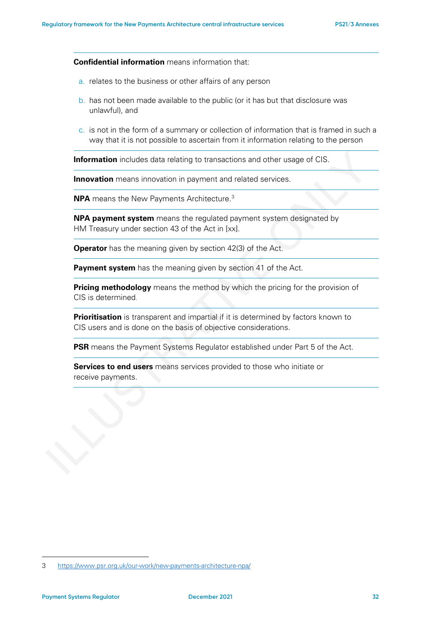**Confidential information** means information that:

- a. relates to the business or other affairs of any person
- b. has not been made available to the public (or it has but that disclosure was unlawful), and
- c. is not in the form of a summary or collection of information that is framed in such a way that it is not possible to ascertain from it information relating to the person

**Information** includes data relating to transactions and other usage of CIS.

**Innovation** means innovation in payment and related services.

**NPA** means the New Payments Architecture.[3](#page-31-0)

**NPA payment system** means the regulated payment system designated by HM Treasury under section 43 of the Act in [xx].

**Operator** has the meaning given by section 42(3) of the Act.

**Payment system** has the meaning given by section 41 of the Act.

**Pricing methodology** means the method by which the pricing for the provision of CIS is determined.

**Prioritisation** is transparent and impartial if it is determined by factors known to CIS users and is done on the basis of objective considerations.

**PSR** means the Payment Systems Regulator established under Part 5 of the Act.

**Services to end users** means services provided to those who initiate or receive payments.

<span id="page-31-0"></span><sup>3</sup> <https://www.psr.org.uk/our-work/new-payments-architecture-npa/>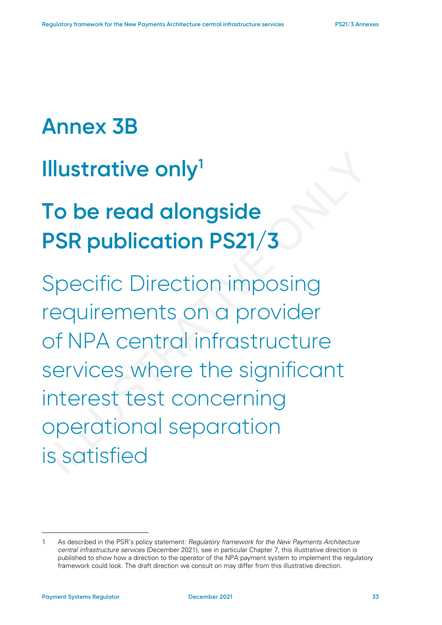# **Annex 3B**

# **Illustrative only[1](#page-32-0)**

# **To be read alongside PSR publication PS21/3**

Specific Direction imposing requirements on a provider of NPA central infrastructure services where the significant interest test concerning operational separation is satisfied

<span id="page-32-0"></span><sup>1</sup> As described in the PSR's policy statement*: Regulatory framework for the New Payments Architecture central infrastructure services* (December 2021), see in particular Chapter 7, this illustrative direction is published to show how a direction to the operator of the NPA payment system to implement the regulatory framework could look. The draft direction we consult on may differ from this illustrative direction.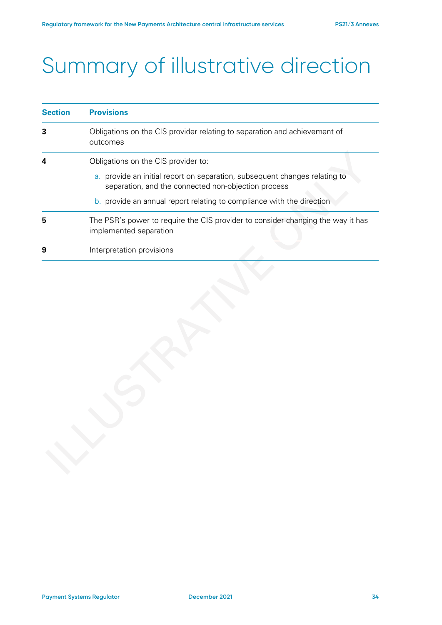# Summary of illustrative direction

| <b>Section</b> | <b>Provisions</b>                                                                                                                 |  |
|----------------|-----------------------------------------------------------------------------------------------------------------------------------|--|
| 3              | Obligations on the CIS provider relating to separation and achievement of<br>outcomes                                             |  |
| 4              | Obligations on the CIS provider to:                                                                                               |  |
|                | a. provide an initial report on separation, subsequent changes relating to<br>separation, and the connected non-objection process |  |
|                | b. provide an annual report relating to compliance with the direction                                                             |  |
| 5              | The PSR's power to require the CIS provider to consider changing the way it has<br>implemented separation                         |  |
| 9              | Interpretation provisions                                                                                                         |  |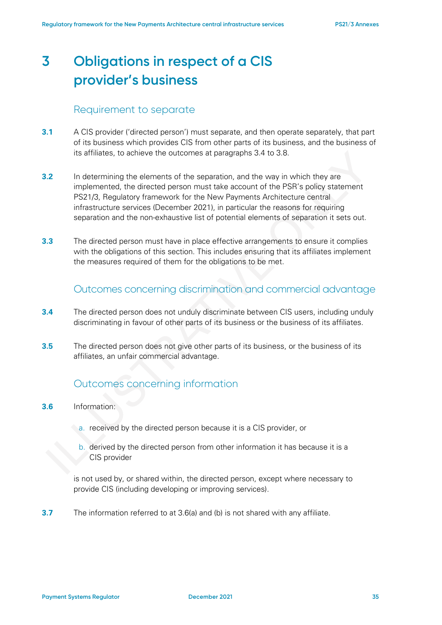## **3 Obligations in respect of a CIS provider's business**

### Requirement to separate

- **3.1** A CIS provider ('directed person') must separate, and then operate separately, that part of its business which provides CIS from other parts of its business, and the business of its affiliates, to achieve the outcomes at paragraphs 3.4 to 3.8.
- **3.2** In determining the elements of the separation, and the way in which they are implemented, the directed person must take account of the PSR's policy statement PS21/3, Regulatory framework for the New Payments Architecture central infrastructure services (December 2021), in particular the reasons for requiring separation and the non-exhaustive list of potential elements of separation it sets out.
- **3.3** The directed person must have in place effective arrangements to ensure it complies with the obligations of this section. This includes ensuring that its affiliates implement the measures required of them for the obligations to be met.

### Outcomes concerning discrimination and commercial advantage

- **3.4** The directed person does not unduly discriminate between CIS users, including unduly discriminating in favour of other parts of its business or the business of its affiliates.
- **3.5** The directed person does not give other parts of its business, or the business of its affiliates, an unfair commercial advantage.

### Outcomes concerning information

- **3.6** Information:
	- a. received by the directed person because it is a CIS provider, or
		- b. derived by the directed person from other information it has because it is a CIS provider

is not used by, or shared within, the directed person, except where necessary to provide CIS (including developing or improving services).

**3.7** The information referred to at 3.6(a) and (b) is not shared with any affiliate.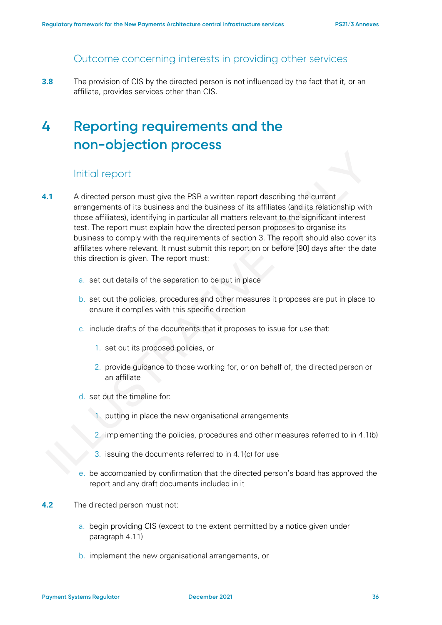If you have questions about this document, you can email **PSRNPA@psr.org.uk** or write to us at:

PSR Pay.UK/NPA project team Payment Systems Regulator 12 Endeavour Square London F20 1JN

You can download this document from our website: www.psr.org.uk/publications/policy-statements/npa-regulatory-framework-published/

We take our data protection responsibilities seriously and will process any personal data that you provide to us in accordance with the Data Protection Act 2018, the General Data Protection Regulation and our PSR Data Privacy Policy. For more information on how and why we process your personal data, and your rights in respect of the personal data that you provide to us, please see our website privacy policy, available here: https://www.psr.org.uk/privacy-notice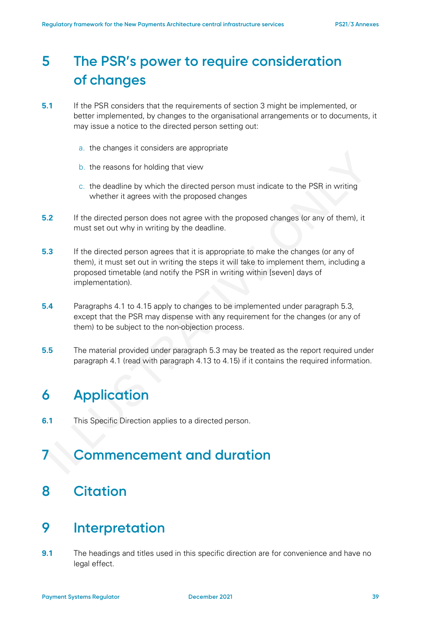## **5 The PSR's power to require consideration of changes**

- **5.1** If the PSR considers that the requirements of section 3 might be implemented, or better implemented, by changes to the organisational arrangements or to documents, it may issue a notice to the directed person setting out:
	- a. the changes it considers are appropriate
	- b. the reasons for holding that view
	- c. the deadline by which the directed person must indicate to the PSR in writing whether it agrees with the proposed changes
- **5.2** If the directed person does not agree with the proposed changes (or any of them), it must set out why in writing by the deadline.
- **5.3** If the directed person agrees that it is appropriate to make the changes (or any of them), it must set out in writing the steps it will take to implement them, including a proposed timetable (and notify the PSR in writing within [seven] days of implementation).
- **5.4** Paragraphs 4.1 to 4.15 apply to changes to be implemented under paragraph 5.3, except that the PSR may dispense with any requirement for the changes (or any of them) to be subject to the non-objection process.
- **5.5** The material provided under paragraph 5.3 may be treated as the report required under paragraph 4.1 (read with paragraph 4.13 to 4.15) if it contains the required information.

## **6 Application**

**6.1** This Specific Direction applies to a directed person.

## **7 Commencement and duration**

## **8 Citation**

### **9 Interpretation**

**9.1** The headings and titles used in this specific direction are for convenience and have no legal effect.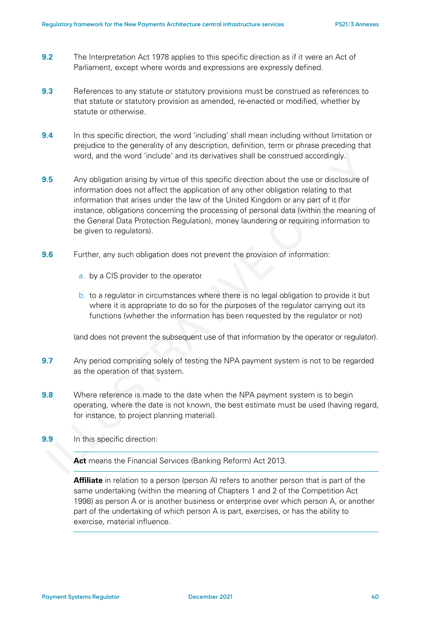- **9.2** The Interpretation Act 1978 applies to this specific direction as if it were an Act of Parliament, except where words and expressions are expressly defined.
- **9.3** References to any statute or statutory provisions must be construed as references to that statute or statutory provision as amended, re-enacted or modified, whether by statute or otherwise.
- **9.4** In this specific direction, the word 'including' shall mean including without limitation or prejudice to the generality of any description, definition, term or phrase preceding that word, and the word 'include' and its derivatives shall be construed accordingly.
- **9.5** Any obligation arising by virtue of this specific direction about the use or disclosure of information does not affect the application of any other obligation relating to that information that arises under the law of the United Kingdom or any part of it (for instance, obligations concerning the processing of personal data (within the meaning of the General Data Protection Regulation), money laundering or requiring information to be given to regulators).
- **9.6** Further, any such obligation does not prevent the provision of information:
	- a. by a CIS provider to the operator
	- b. to a regulator in circumstances where there is no legal obligation to provide it but where it is appropriate to do so for the purposes of the regulator carrying out its functions (whether the information has been requested by the regulator or not)

(and does not prevent the subsequent use of that information by the operator or regulator).

- **9.7** Any period comprising solely of testing the NPA payment system is not to be regarded as the operation of that system.
- **9.8** Where reference is made to the date when the NPA payment system is to begin operating, where the date is not known, the best estimate must be used (having regard, for instance, to project planning material).
- **9.9** In this specific direction:

**Act** means the Financial Services (Banking Reform) Act 2013.

**Affiliate** in relation to a person (person A) refers to another person that is part of the same undertaking (within the meaning of Chapters 1 and 2 of the Competition Act 1998) as person A or is another business or enterprise over which person A, or another part of the undertaking of which person A is part, exercises, or has the ability to exercise, material influence.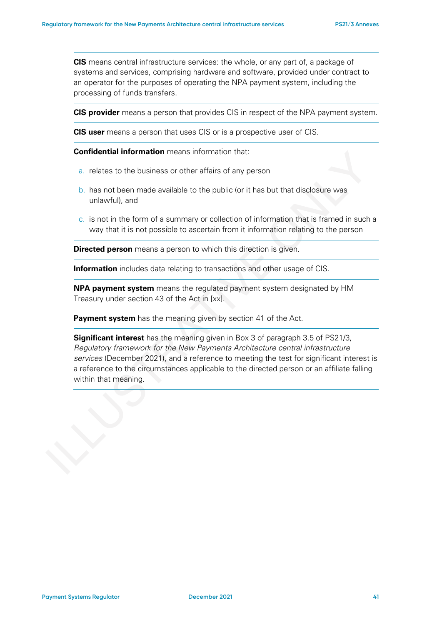**CIS** means central infrastructure services: the whole, or any part of, a package of systems and services, comprising hardware and software, provided under contract to an operator for the purposes of operating the NPA payment system, including the processing of funds transfers.

**CIS provider** means a person that provides CIS in respect of the NPA payment system.

**CIS user** means a person that uses CIS or is a prospective user of CIS.

**Confidential information** means information that:

- a. relates to the business or other affairs of any person
- b. has not been made available to the public (or it has but that disclosure was unlawful), and
- c. is not in the form of a summary or collection of information that is framed in such a way that it is not possible to ascertain from it information relating to the person

**Directed person** means a person to which this direction is given.

**Information** includes data relating to transactions and other usage of CIS.

**NPA payment system** means the regulated payment system designated by HM Treasury under section 43 of the Act in [xx].

**Payment system** has the meaning given by section 41 of the Act.

**Significant interest** has the meaning given in Box 3 of paragraph 3.5 of PS21/3, *Regulatory framework for the New Payments Architecture central infrastructure services* (December 2021), and a reference to meeting the test for significant interest is a reference to the circumstances applicable to the directed person or an affiliate falling within that meaning.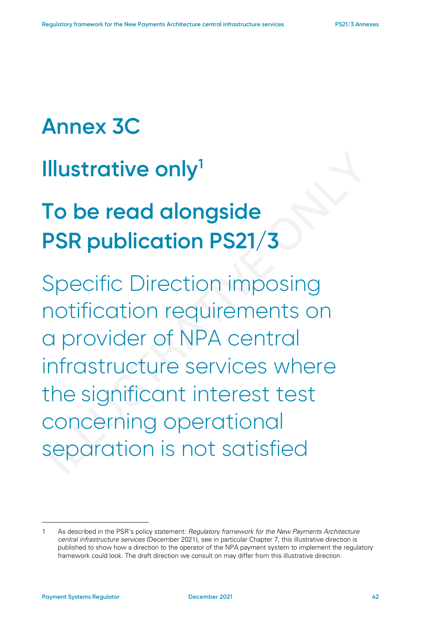# **Annex 3C**

## **Illustrative only[1](#page-41-1)**

# **To be read alongside PSR publication PS21/3**

Specific Direction imposing notification requirements on a provider of NPA central infrastructure services where the significant interest test concerning operational separation is not satisfied

<span id="page-41-1"></span><span id="page-41-0"></span><sup>1</sup> As described in the PSR's policy statement*: Regulatory framework for the New Payments Architecture central infrastructure services* (December 2021), see in particular Chapter 7, this illustrative direction is published to show how a direction to the operator of the NPA payment system to implement the regulatory framework could look. The draft direction we consult on may differ from this illustrative direction.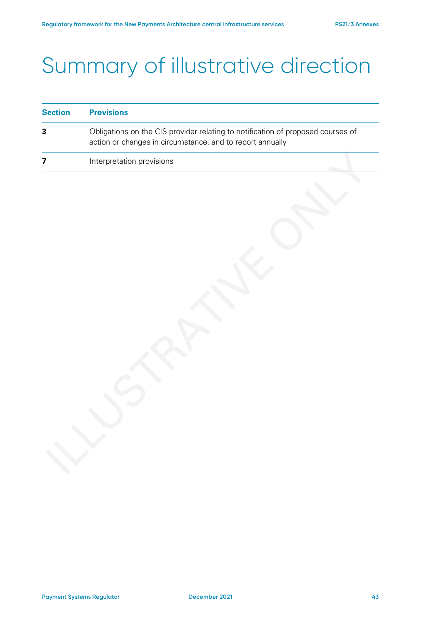# Summary of illustrative direction

| <b>Section</b> | <b>Provisions</b><br>Obligations on the CIS provider relating to notification of proposed courses of<br>action or changes in circumstance, and to report annually |  |
|----------------|-------------------------------------------------------------------------------------------------------------------------------------------------------------------|--|
| 3              |                                                                                                                                                                   |  |
|                | Interpretation provisions                                                                                                                                         |  |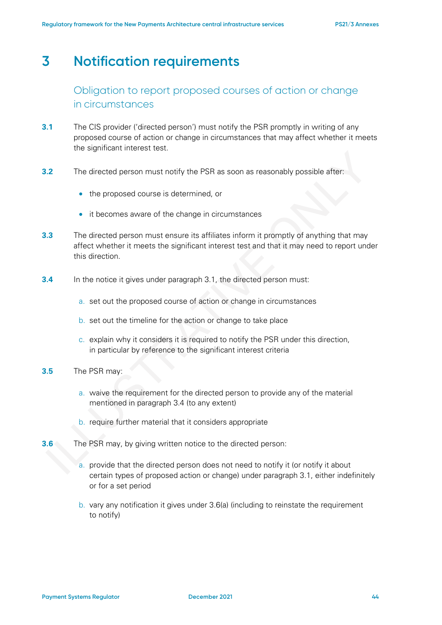## **3 Notification requirements**

Obligation to report proposed courses of action or change in circumstances

- **3.1** The CIS provider ('directed person') must notify the PSR promptly in writing of any proposed course of action or change in circumstances that may affect whether it meets the significant interest test.
- **3.2** The directed person must notify the PSR as soon as reasonably possible after:
	- the proposed course is determined, or
	- it becomes aware of the change in circumstances
- **3.3** The directed person must ensure its affiliates inform it promptly of anything that may affect whether it meets the significant interest test and that it may need to report under this direction.
- **3.4** In the notice it gives under paragraph 3.1, the directed person must:
	- a. set out the proposed course of action or change in circumstances
	- b. set out the timeline for the action or change to take place
	- c. explain why it considers it is required to notify the PSR under this direction, in particular by reference to the significant interest criteria
- **3.5** The PSR may:
	- a. waive the requirement for the directed person to provide any of the material mentioned in paragraph 3.4 (to any extent)
	- b. require further material that it considers appropriate
- **3.6** The PSR may, by giving written notice to the directed person:
	- a. provide that the directed person does not need to notify it (or notify it about certain types of proposed action or change) under paragraph 3.1, either indefinitely or for a set period
	- b. vary any notification it gives under 3.6(a) (including to reinstate the requirement to notify)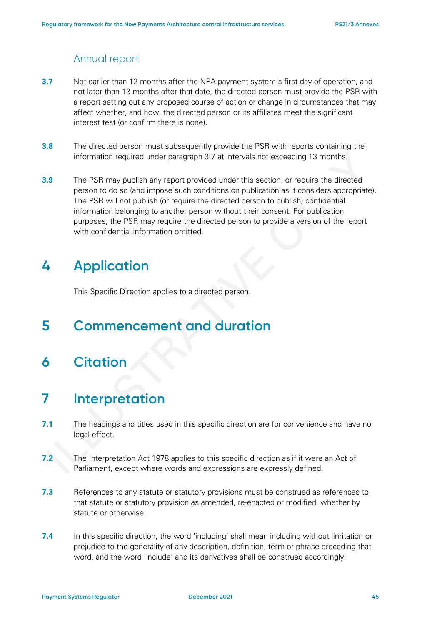### Annual report

- **3.7** Not earlier than 12 months after the NPA payment system's first day of operation, and not later than 13 months after that date, the directed person must provide the PSR with a report setting out any proposed course of action or change in circumstances that may affect whether, and how, the directed person or its affiliates meet the significant interest test (or confirm there is none).
- **3.8** The directed person must subsequently provide the PSR with reports containing the information required under paragraph 3.7 at intervals not exceeding 13 months.
- **3.9** The PSR may publish any report provided under this section, or require the directed person to do so (and impose such conditions on publication as it considers appropriate). The PSR will not publish (or require the directed person to publish) confidential information belonging to another person without their consent. For publication purposes, the PSR may require the directed person to provide a version of the report with confidential information omitted.

## **4 Application**

This Specific Direction applies to a directed person.

## **5 Commencement and duration**

**6 Citation**

### **7 Interpretation**

- **7.1** The headings and titles used in this specific direction are for convenience and have no legal effect.
- **7.2** The Interpretation Act 1978 applies to this specific direction as if it were an Act of Parliament, except where words and expressions are expressly defined.
- **7.3** References to any statute or statutory provisions must be construed as references to that statute or statutory provision as amended, re-enacted or modified, whether by statute or otherwise.
- **7.4** In this specific direction, the word 'including' shall mean including without limitation or prejudice to the generality of any description, definition, term or phrase preceding that word, and the word 'include' and its derivatives shall be construed accordingly.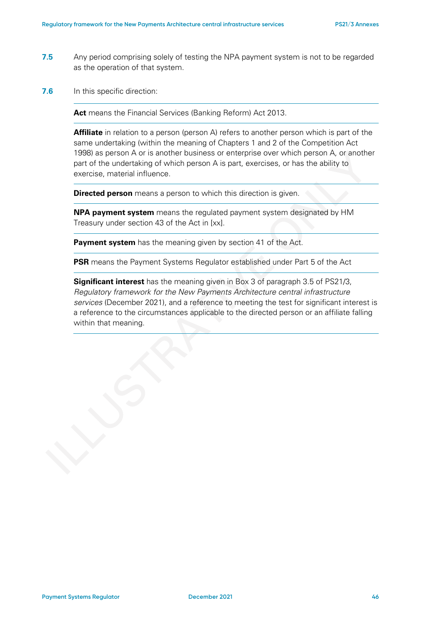- **7.5** Any period comprising solely of testing the NPA payment system is not to be regarded as the operation of that system.
- **7.6** In this specific direction:

**Act** means the Financial Services (Banking Reform) Act 2013.

**Affiliate** in relation to a person (person A) refers to another person which is part of the same undertaking (within the meaning of Chapters 1 and 2 of the Competition Act 1998) as person A or is another business or enterprise over which person A, or another part of the undertaking of which person A is part, exercises, or has the ability to exercise, material influence.

**Directed person** means a person to which this direction is given.

**NPA payment system** means the regulated payment system designated by HM Treasury under section 43 of the Act in [xx].

**Payment system** has the meaning given by section 41 of the Act.

**PSR** means the Payment Systems Regulator established under Part 5 of the Act

**Significant interest** has the meaning given in Box 3 of paragraph 3.5 of PS21/3, *Regulatory framework for the New Payments Architecture central infrastructure services* (December 2021), and a reference to meeting the test for significant interest is a reference to the circumstances applicable to the directed person or an affiliate falling within that meaning.